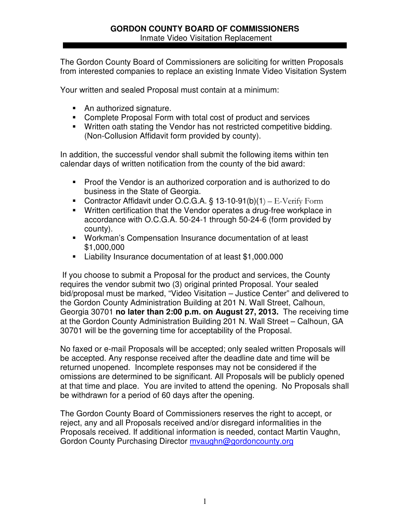The Gordon County Board of Commissioners are soliciting for written Proposals from interested companies to replace an existing Inmate Video Visitation System

Your written and sealed Proposal must contain at a minimum:

- An authorized signature.
- Complete Proposal Form with total cost of product and services
- Written oath stating the Vendor has not restricted competitive bidding. (Non-Collusion Affidavit form provided by county).

In addition, the successful vendor shall submit the following items within ten calendar days of written notification from the county of the bid award:

- Proof the Vendor is an authorized corporation and is authorized to do business in the State of Georgia.
- Contractor Affidavit under O.C.G.A.  $\S$  13-10-91(b)(1) E-Verify Form
- Written certification that the Vendor operates a drug-free workplace in accordance with O.C.G.A. 50-24-1 through 50-24-6 (form provided by county).
- Workman's Compensation Insurance documentation of at least \$1,000,000
- Liability Insurance documentation of at least \$1,000.000

If you choose to submit a Proposal for the product and services, the County requires the vendor submit two (3) original printed Proposal. Your sealed bid/proposal must be marked, "Video Visitation – Justice Center" and delivered to the Gordon County Administration Building at 201 N. Wall Street, Calhoun, Georgia 30701 **no later than 2:00 p.m. on August 27, 2013.** The receiving time at the Gordon County Administration Building 201 N. Wall Street – Calhoun, GA 30701 will be the governing time for acceptability of the Proposal.

No faxed or e-mail Proposals will be accepted; only sealed written Proposals will be accepted. Any response received after the deadline date and time will be returned unopened. Incomplete responses may not be considered if the omissions are determined to be significant. All Proposals will be publicly opened at that time and place. You are invited to attend the opening. No Proposals shall be withdrawn for a period of 60 days after the opening.

The Gordon County Board of Commissioners reserves the right to accept, or reject, any and all Proposals received and/or disregard informalities in the Proposals received. If additional information is needed, contact Martin Vaughn, Gordon County Purchasing Director myaughn@gordoncounty.org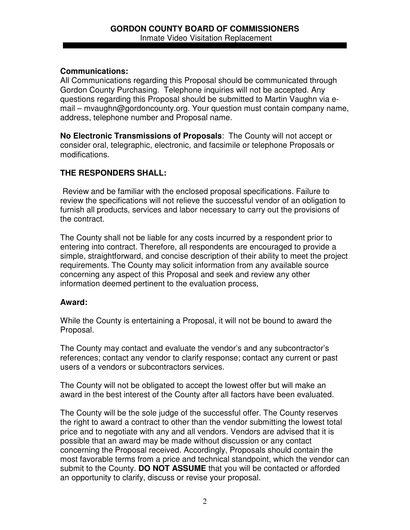## **Communications:**

All Communications regarding this Proposal should be communicated through Gordon County Purchasing. Telephone inquiries will not be accepted. Any questions regarding this Proposal should be submitted to Martin Vaughn via email – mvaughn@gordoncounty.org. Your question must contain company name, address, telephone number and Proposal name.

**No Electronic Transmissions of Proposals**: The County will not accept or consider oral, telegraphic, electronic, and facsimile or telephone Proposals or modifications.

# **THE RESPONDERS SHALL:**

Review and be familiar with the enclosed proposal specifications. Failure to review the specifications will not relieve the successful vendor of an obligation to furnish all products, services and labor necessary to carry out the provisions of the contract.

The County shall not be liable for any costs incurred by a respondent prior to entering into contract. Therefore, all respondents are encouraged to provide a simple, straightforward, and concise description of their ability to meet the project requirements. The County may solicit information from any available source concerning any aspect of this Proposal and seek and review any other information deemed pertinent to the evaluation process,

## **Award:**

While the County is entertaining a Proposal, it will not be bound to award the Proposal.

The County may contact and evaluate the vendor's and any subcontractor's references; contact any vendor to clarify response; contact any current or past users of a vendors or subcontractors services.

The County will not be obligated to accept the lowest offer but will make an award in the best interest of the County after all factors have been evaluated.

The County will be the sole judge of the successful offer. The County reserves the right to award a contract to other than the vendor submitting the lowest total price and to negotiate with any and all vendors. Vendors are advised that it is possible that an award may be made without discussion or any contact concerning the Proposal received. Accordingly, Proposals should contain the most favorable terms from a price and technical standpoint, which the vendor can submit to the County. **DO NOT ASSUME** that you will be contacted or afforded an opportunity to clarify, discuss or revise your proposal.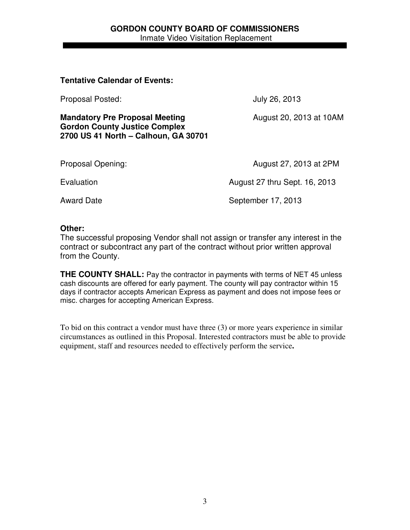#### **GORDON COUNTY BOARD OF COMMISSIONERS** Inmate Video Visitation Replacement

#### **Tentative Calendar of Events:**

Proposal Posted: July 26, 2013

**Mandatory Pre Proposal Meeting <b>August 20, 2013 at 10AM Gordon County Justice Complex 2700 US 41 North – Calhoun, GA 30701**

Proposal Opening: The Contract of the August 27, 2013 at 2PM

Evaluation **Example 27** thru Sept. 16, 2013

Award Date **September 17, 2013** 

#### **Other:**

The successful proposing Vendor shall not assign or transfer any interest in the contract or subcontract any part of the contract without prior written approval from the County.

**THE COUNTY SHALL:** Pay the contractor in payments with terms of NET 45 unless cash discounts are offered for early payment. The county will pay contractor within 15 days if contractor accepts American Express as payment and does not impose fees or misc. charges for accepting American Express.

To bid on this contract a vendor must have three (3) or more years experience in similar circumstances as outlined in this Proposal. Interested contractors must be able to provide equipment, staff and resources needed to effectively perform the service**.**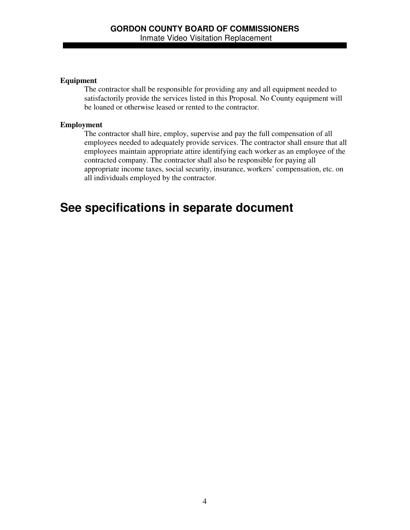#### **Equipment**

The contractor shall be responsible for providing any and all equipment needed to satisfactorily provide the services listed in this Proposal. No County equipment will be loaned or otherwise leased or rented to the contractor.

#### **Employment**

The contractor shall hire, employ, supervise and pay the full compensation of all employees needed to adequately provide services. The contractor shall ensure that all employees maintain appropriate attire identifying each worker as an employee of the contracted company. The contractor shall also be responsible for paying all appropriate income taxes, social security, insurance, workers' compensation, etc. on all individuals employed by the contractor.

# **See specifications in separate document**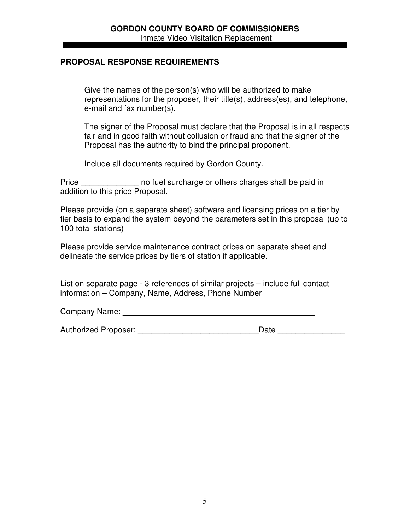## **PROPOSAL RESPONSE REQUIREMENTS**

Give the names of the person(s) who will be authorized to make representations for the proposer, their title(s), address(es), and telephone, e-mail and fax number(s).

The signer of the Proposal must declare that the Proposal is in all respects fair and in good faith without collusion or fraud and that the signer of the Proposal has the authority to bind the principal proponent.

Include all documents required by Gordon County.

Price **Example 20** no fuel surcharge or others charges shall be paid in addition to this price Proposal.

Please provide (on a separate sheet) software and licensing prices on a tier by tier basis to expand the system beyond the parameters set in this proposal (up to 100 total stations)

Please provide service maintenance contract prices on separate sheet and delineate the service prices by tiers of station if applicable.

List on separate page - 3 references of similar projects – include full contact information – Company, Name, Address, Phone Number

Company Name: \_\_\_\_\_\_\_\_\_\_\_\_\_\_\_\_\_\_\_\_\_\_\_\_\_\_\_\_\_\_\_\_\_\_\_\_\_\_\_\_\_\_\_

Authorized Proposer: <br>
and the contract of the Date Date Date Date Date and the Contract of the Contract of the Contract of the Contract of the Contract of the Contract of the Contract of the Contract of the Contract of th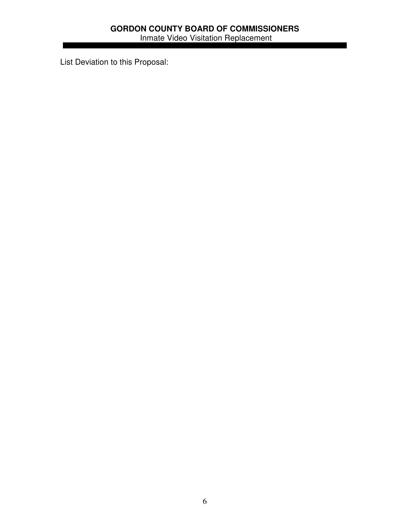List Deviation to this Proposal: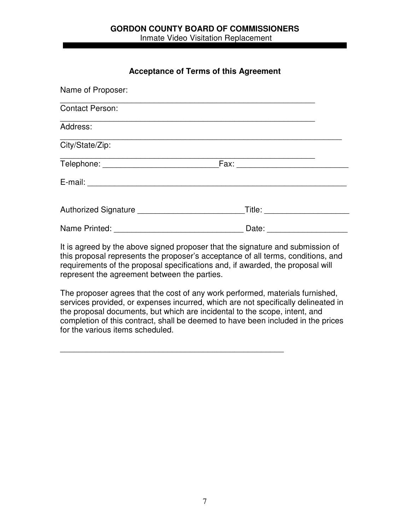## **Acceptance of Terms of this Agreement**

| Name of Proposer:                           |                                                        |  |
|---------------------------------------------|--------------------------------------------------------|--|
| <b>Contact Person:</b>                      |                                                        |  |
| Address:                                    |                                                        |  |
| City/State/Zip:                             |                                                        |  |
|                                             |                                                        |  |
|                                             |                                                        |  |
| Authorized Signature ______________________ | Title: The Contract of the Title                       |  |
| Name Printed: ___________________           | Date: $\frac{1}{\sqrt{1-\frac{1}{2}}\cdot\frac{1}{2}}$ |  |

It is agreed by the above signed proposer that the signature and submission of this proposal represents the proposer's acceptance of all terms, conditions, and requirements of the proposal specifications and, if awarded, the proposal will represent the agreement between the parties.

The proposer agrees that the cost of any work performed, materials furnished, services provided, or expenses incurred, which are not specifically delineated in the proposal documents, but which are incidental to the scope, intent, and completion of this contract, shall be deemed to have been included in the prices for the various items scheduled.

\_\_\_\_\_\_\_\_\_\_\_\_\_\_\_\_\_\_\_\_\_\_\_\_\_\_\_\_\_\_\_\_\_\_\_\_\_\_\_\_\_\_\_\_\_\_\_\_\_\_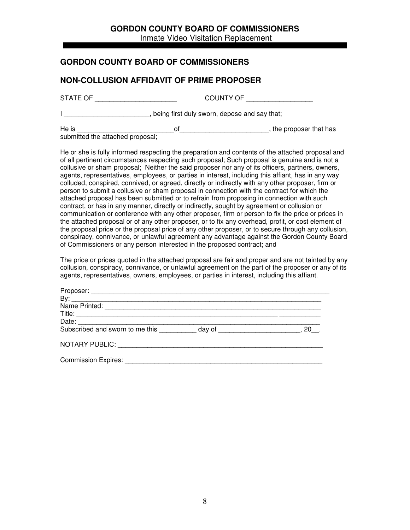## **GORDON COUNTY BOARD OF COMMISSIONERS**

Inmate Video Visitation Replacement

#### **GORDON COUNTY BOARD OF COMMISSIONERS**

#### **NON-COLLUSION AFFIDAVIT OF PRIME PROPOSER**

STATE OF GUNTY OF GOUNTY OF GOUNTS OF THE STATE OF  $\sim$ 

I \_\_\_\_\_\_\_\_\_\_\_\_\_\_\_\_\_\_\_\_\_\_\_\_, being first duly sworn, depose and say that;

He is \_\_\_\_\_\_\_\_\_\_\_\_\_\_\_\_\_\_\_\_\_\_\_\_\_\_of\_\_\_\_\_\_\_\_\_\_\_\_\_\_\_\_\_\_\_\_\_\_\_\_, the proposer that has

submitted the attached proposal;

He or she is fully informed respecting the preparation and contents of the attached proposal and of all pertinent circumstances respecting such proposal; Such proposal is genuine and is not a collusive or sham proposal; Neither the said proposer nor any of its officers, partners, owners, agents, representatives, employees, or parties in interest, including this affiant, has in any way colluded, conspired, connived, or agreed, directly or indirectly with any other proposer, firm or person to submit a collusive or sham proposal in connection with the contract for which the attached proposal has been submitted or to refrain from proposing in connection with such contract, or has in any manner, directly or indirectly, sought by agreement or collusion or communication or conference with any other proposer, firm or person to fix the price or prices in the attached proposal or of any other proposer, or to fix any overhead, profit, or cost element of the proposal price or the proposal price of any other proposer, or to secure through any collusion, conspiracy, connivance, or unlawful agreement any advantage against the Gordon County Board of Commissioners or any person interested in the proposed contract; and

The price or prices quoted in the attached proposal are fair and proper and are not tainted by any collusion, conspiracy, connivance, or unlawful agreement on the part of the proposer or any of its agents, representatives, owners, employees, or parties in interest, including this affiant.

| Subscribed and sworn to me this __________ day of ______________________________ | 20 |
|----------------------------------------------------------------------------------|----|
|                                                                                  |    |
|                                                                                  |    |
|                                                                                  |    |
| Commission Expires:                                                              |    |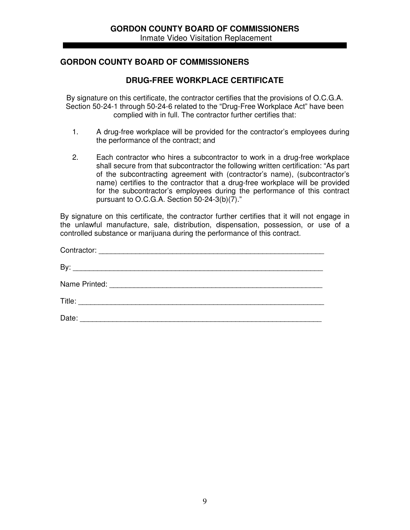## **GORDON COUNTY BOARD OF COMMISSIONERS**

#### **DRUG-FREE WORKPLACE CERTIFICATE**

By signature on this certificate, the contractor certifies that the provisions of O.C.G.A. Section 50-24-1 through 50-24-6 related to the "Drug-Free Workplace Act" have been complied with in full. The contractor further certifies that:

- 1. A drug-free workplace will be provided for the contractor's employees during the performance of the contract; and
- 2. Each contractor who hires a subcontractor to work in a drug-free workplace shall secure from that subcontractor the following written certification: "As part of the subcontracting agreement with (contractor's name), (subcontractor's name) certifies to the contractor that a drug-free workplace will be provided for the subcontractor's employees during the performance of this contract pursuant to O.C.G.A. Section 50-24-3(b)(7)."

By signature on this certificate, the contractor further certifies that it will not engage in the unlawful manufacture, sale, distribution, dispensation, possession, or use of a controlled substance or marijuana during the performance of this contract.

| Date: |  |
|-------|--|